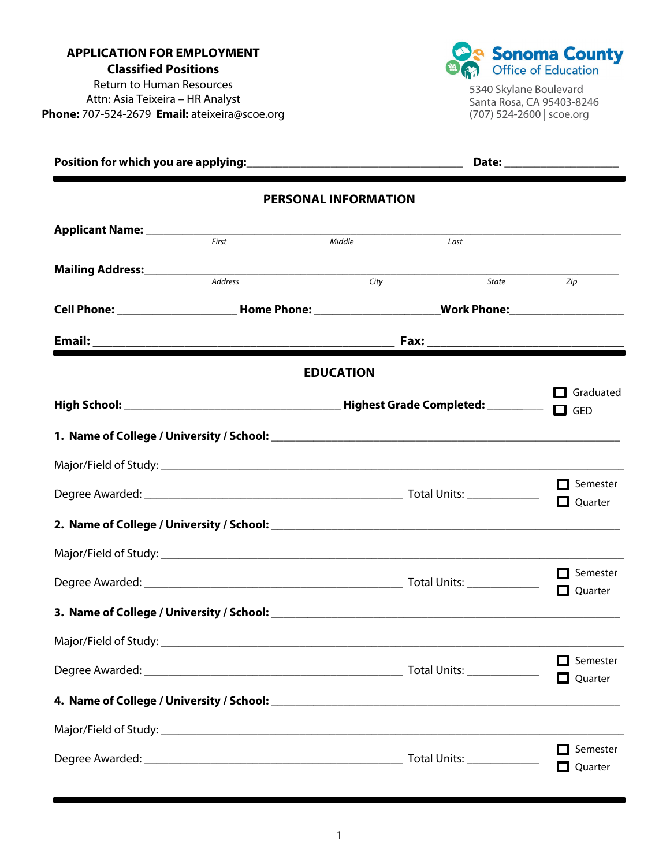**APPLICATION FOR EMPLOYMENT Classified Positions**  Return to Human Resources

Attn: Asia Teixeira – HR Analyst **Phone:** 707-524-2679 **Email:** ateixeira@scoe.org



5340 Skylane Boulevard Santa Rosa, CA 95403-8246 (707) 524-2600 | scoe.org

|                             |                                                                                                                | Date: _____________________ |                               |                            |
|-----------------------------|----------------------------------------------------------------------------------------------------------------|-----------------------------|-------------------------------|----------------------------|
|                             |                                                                                                                | <b>PERSONAL INFORMATION</b> |                               |                            |
| Applicant Name: ___________ |                                                                                                                |                             |                               |                            |
|                             | First                                                                                                          | Middle                      | Last                          |                            |
|                             | Address                                                                                                        | City                        | <i>State</i> and <i>State</i> | Zip                        |
|                             | Cell Phone: _____________________________Home Phone: ___________________________Work Phone: __________________ |                             |                               |                            |
|                             |                                                                                                                |                             |                               |                            |
|                             |                                                                                                                | <b>EDUCATION</b>            |                               |                            |
|                             |                                                                                                                |                             |                               | Graduated<br>$\Box$ GED    |
|                             |                                                                                                                |                             |                               |                            |
|                             |                                                                                                                |                             |                               |                            |
|                             |                                                                                                                |                             |                               | Semester<br>Quarter        |
|                             |                                                                                                                |                             |                               |                            |
|                             |                                                                                                                |                             |                               |                            |
|                             |                                                                                                                |                             |                               | Semester<br>O<br>Quarter   |
|                             |                                                                                                                |                             |                               |                            |
|                             |                                                                                                                |                             |                               |                            |
|                             |                                                                                                                |                             |                               | Semester<br>$\Box$ Quarter |
|                             |                                                                                                                |                             |                               |                            |
|                             |                                                                                                                |                             |                               |                            |
|                             |                                                                                                                |                             |                               | Semester<br>Quarter        |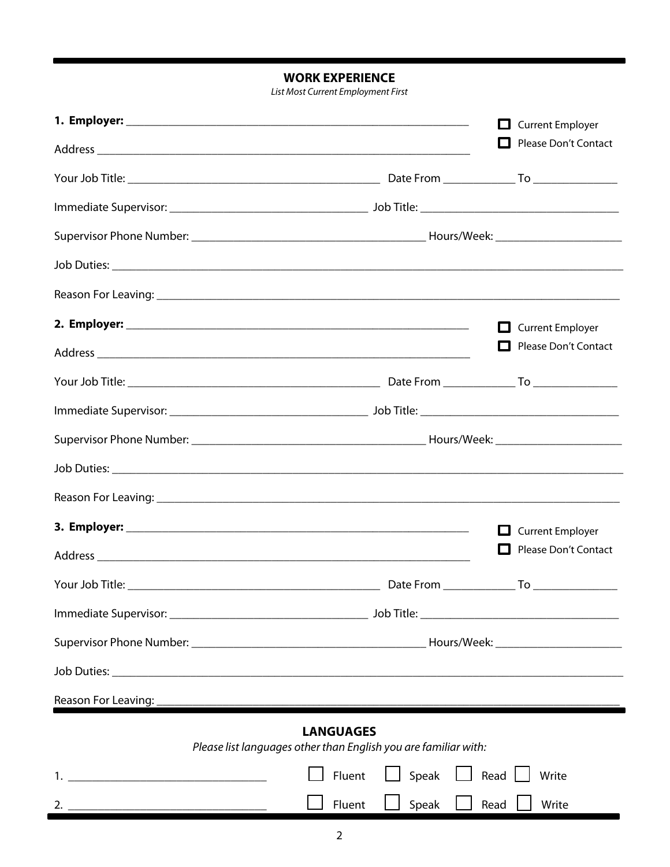**WORK EXPERIENCE** 

List Most Current Employment First

|                                                                                                                                                                                                                                |                                                                                     | $\Box$ Current Employer                                                                                                                                                                                                                                         |
|--------------------------------------------------------------------------------------------------------------------------------------------------------------------------------------------------------------------------------|-------------------------------------------------------------------------------------|-----------------------------------------------------------------------------------------------------------------------------------------------------------------------------------------------------------------------------------------------------------------|
|                                                                                                                                                                                                                                |                                                                                     | Please Don't Contact                                                                                                                                                                                                                                            |
|                                                                                                                                                                                                                                |                                                                                     |                                                                                                                                                                                                                                                                 |
|                                                                                                                                                                                                                                |                                                                                     |                                                                                                                                                                                                                                                                 |
|                                                                                                                                                                                                                                |                                                                                     |                                                                                                                                                                                                                                                                 |
|                                                                                                                                                                                                                                |                                                                                     |                                                                                                                                                                                                                                                                 |
|                                                                                                                                                                                                                                |                                                                                     |                                                                                                                                                                                                                                                                 |
|                                                                                                                                                                                                                                |                                                                                     | <b>Current Employer</b><br>$\mathbf{L}$                                                                                                                                                                                                                         |
|                                                                                                                                                                                                                                |                                                                                     | Please Don't Contact                                                                                                                                                                                                                                            |
|                                                                                                                                                                                                                                |                                                                                     |                                                                                                                                                                                                                                                                 |
|                                                                                                                                                                                                                                |                                                                                     |                                                                                                                                                                                                                                                                 |
|                                                                                                                                                                                                                                |                                                                                     |                                                                                                                                                                                                                                                                 |
|                                                                                                                                                                                                                                |                                                                                     |                                                                                                                                                                                                                                                                 |
|                                                                                                                                                                                                                                |                                                                                     |                                                                                                                                                                                                                                                                 |
|                                                                                                                                                                                                                                |                                                                                     | <b>Current Employer</b><br><b>The Contract of the Contract of the Contract of the Contract of the Contract of the Contract of the Contract of the Contract of the Contract of the Contract of the Contract of the Contract of the Contract of the Contract </b> |
| Address experiences and the contract of the contract of the contract of the contract of the contract of the contract of the contract of the contract of the contract of the contract of the contract of the contract of the co |                                                                                     | Please Don't Contact                                                                                                                                                                                                                                            |
|                                                                                                                                                                                                                                |                                                                                     |                                                                                                                                                                                                                                                                 |
|                                                                                                                                                                                                                                |                                                                                     |                                                                                                                                                                                                                                                                 |
|                                                                                                                                                                                                                                |                                                                                     |                                                                                                                                                                                                                                                                 |
|                                                                                                                                                                                                                                |                                                                                     |                                                                                                                                                                                                                                                                 |
|                                                                                                                                                                                                                                |                                                                                     |                                                                                                                                                                                                                                                                 |
|                                                                                                                                                                                                                                | <b>LANGUAGES</b><br>Please list languages other than English you are familiar with: |                                                                                                                                                                                                                                                                 |
| 1. <u>__________________________________</u>                                                                                                                                                                                   | Speak $\Box$ Read $\Box$<br>Fluent                                                  | Write                                                                                                                                                                                                                                                           |
|                                                                                                                                                                                                                                | Speak<br>Read<br>Fluent                                                             | Write                                                                                                                                                                                                                                                           |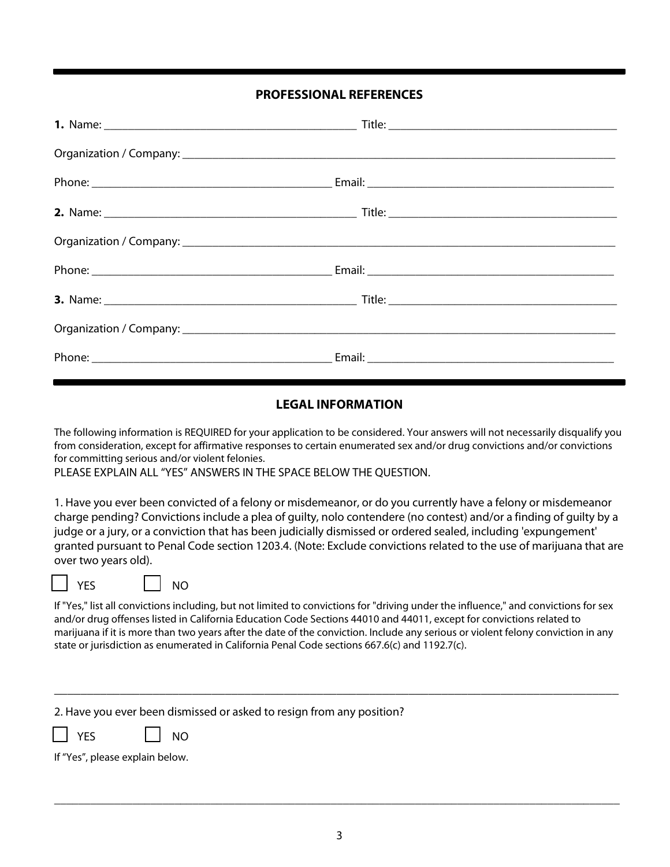## **PROFESSIONAL REFERENCES**

## **LEGAL INFORMATION**

The following information is REQUIRED for your application to be considered. Your answers will not necessarily disqualify you from consideration, except for affirmative responses to certain enumerated sex and/or drug convictions and/or convictions for committing serious and/or violent felonies.

PLEASE EXPLAIN ALL "YES" ANSWERS IN THE SPACE BELOW THE QUESTION.

1. Have you ever been convicted of a felony or misdemeanor, or do you currently have a felony or misdemeanor charge pending? Convictions include a plea of guilty, nolo contendere (no contest) and/or a finding of guilty by a judge or a jury, or a conviction that has been judicially dismissed or ordered sealed, including 'expungement' granted pursuant to Penal Code section 1203.4. (Note: Exclude convictions related to the use of marijuana that are over two years old).

| o esta<br>۰. |
|--------------|
|--------------|

If "Yes," list all convictions including, but not limited to convictions for "driving under the influence," and convictions for sex and/or drug offenses listed in California Education Code Sections 44010 and 44011, except for convictions related to marijuana if it is more than two years after the date of the conviction. Include any serious or violent felony conviction in any state or jurisdiction as enumerated in California Penal Code sections 667.6(c) and 1192.7(c).

\_\_\_\_\_\_\_\_\_\_\_\_\_\_\_\_\_\_\_\_\_\_\_\_\_\_\_\_\_\_\_\_\_\_\_\_\_\_\_\_\_\_\_\_\_\_\_\_\_\_\_\_\_\_\_\_\_\_\_\_\_\_\_\_\_\_\_\_\_\_\_\_\_\_\_\_\_\_\_\_\_\_\_\_\_\_

| 2. Have you ever been dismissed or asked to resign from any position? |  |  |
|-----------------------------------------------------------------------|--|--|
|                                                                       |  |  |

NO

| ___ | N٥<br>- | Ι |
|-----|---------|---|
|-----|---------|---|

If "Yes", please explain below.

\_\_\_\_\_\_\_\_\_\_\_\_\_\_\_\_\_\_\_\_\_\_\_\_\_\_\_\_\_\_\_\_\_\_\_\_\_\_\_\_\_\_\_\_\_\_\_\_\_\_\_\_\_\_\_\_\_\_\_\_\_\_\_\_\_\_\_\_\_\_\_\_\_\_\_\_\_\_\_\_\_\_\_\_\_\_\_\_\_\_\_\_\_\_